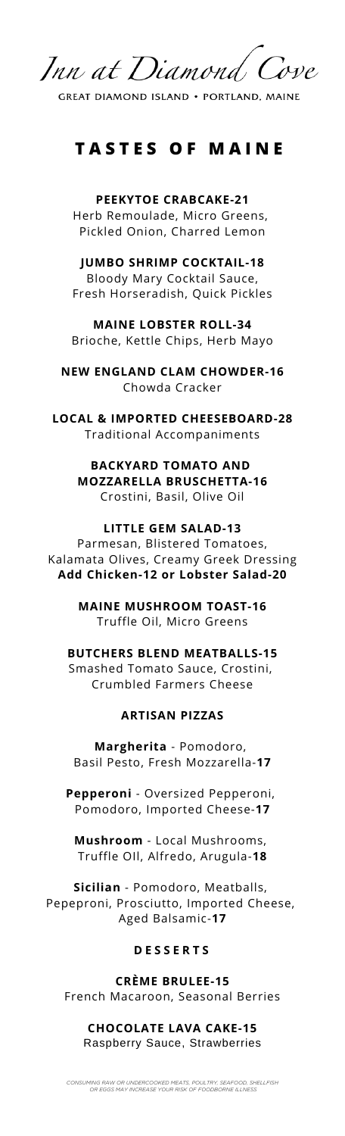

**GREAT DIAMOND ISLAND . PORTLAND, MAINE** 

# **T A S T E S O F M A I N E**

**PEEKYTOE CRABCAKE-21** Herb Remoulade, Micro Greens, Pickled Onion, Charred Lemon

## **JUMBO SHRIMP COCKTAIL-18**

Bloody Mary Cocktail Sauce, Fresh Horseradish, Quick Pickles

**MAINE LOBSTER ROLL-34** Brioche, Kettle Chips, Herb Mayo

**NEW ENGLAND CLAM CHOWDER-16** Chowda Cracker

**LOCAL & IMPORTED CHEESEBOARD-28** Traditional Accompaniments

> **BACKYARD TOMATO AND MOZZARELLA BRUSCHETTA-16** Crostini, Basil, Olive Oil

### **LITTLE GEM SALAD-13**

Parmesan, Blistered Tomatoes, Kalamata Olives, Creamy Greek Dressing **Add Chicken-12 or Lobster Salad-20**

> **MAINE MUSHROOM TOAST-16** Truffle Oil, Micro Greens

### **BUTCHERS BLEND MEATBALLS-15**

Smashed Tomato Sauce, Crostini, Crumbled Farmers Cheese

## **ARTISAN PIZZAS**

**Margherita** - Pomodoro, Basil Pesto, Fresh Mozzarella-**17**

**Pepperoni** - Oversized Pepperoni, Pomodoro, Imported Cheese-**17**

**Mushroom** - Local Mushrooms, Truffle OIl, Alfredo, Arugula-**18**

**Sicilian** - Pomodoro, Meatballs, Pepeproni, Prosciutto, Imported Cheese, Aged Balsamic-**17**

### **D E S S E R T S**

**CRÈME BRULEE-15** French Macaroon, Seasonal Berries

## **CHOCOLATE LAVA CAKE-15** Raspberry Sauce, Strawberries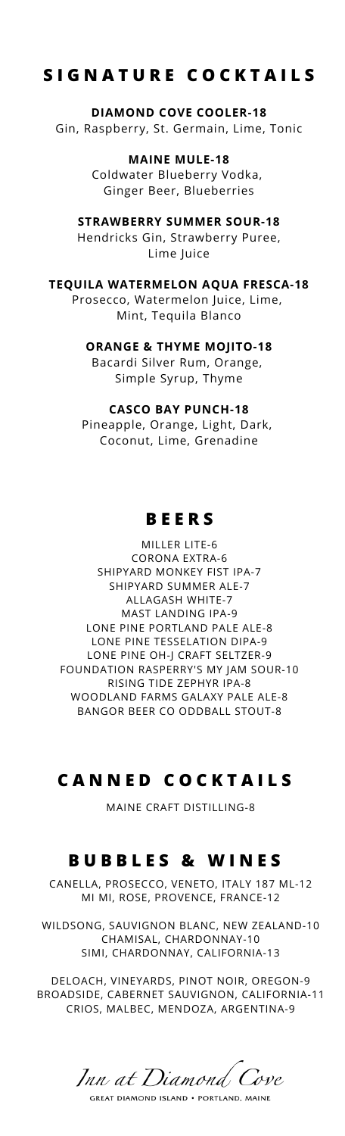## **S I G N A T U R E C O C K T A I L S**

**DIAMOND COVE COOLER-18** Gin, Raspberry, St. Germain, Lime, Tonic

> **MAINE MULE-18** Coldwater Blueberry Vodka, Ginger Beer, Blueberries

**STRAWBERRY SUMMER SOUR-18** Hendricks Gin, Strawberry Puree, Lime Juice

**TEQUILA WATERMELON AQUA FRESCA-18** Prosecco, Watermelon Juice, Lime, Mint, Tequila Blanco

> **ORANGE & THYME MOJITO-18** Bacardi Silver Rum, Orange, Simple Syrup, Thyme

**CASCO BAY PUNCH-18** Pineapple, Orange, Light, Dark, Coconut, Lime, Grenadine

## **B E E R S**

MILLER LITE-6 CORONA EXTRA-6 SHIPYARD MONKEY FIST IPA-7 SHIPYARD SUMMER ALE-7 ALLAGASH WHITE-7 MAST LANDING IPA-9 LONE PINE PORTLAND PALE ALE-8 LONE PINE TESSELATION DIPA-9 LONE PINE OH-J CRAFT SELTZER-9 FOUNDATION RASPERRY'S MY JAM SOUR-10 RISING TIDE ZEPHYR IPA-8 WOODLAND FARMS GALAXY PALE ALE-8 BANGOR BEER CO ODDBALL STOUT-8

## **C A N N E D C O C K T A I L S**

MAINE CRAFT DISTILLING-8

## **B U B B L E S & W I N E S**

CANELLA, PROSECCO, VENETO, ITALY 187 ML-12 MI MI, ROSE, PROVENCE, FRANCE-12

WILDSONG, SAUVIGNON BLANC, NEW ZEALAND-10 CHAMISAL, CHARDONNAY-10 SIMI, CHARDONNAY, CALIFORNIA-13

DELOACH, VINEYARDS, PINOT NOIR, OREGON-9 BROADSIDE, CABERNET SAUVIGNON, CALIFORNIA-11 CRIOS, MALBEC, MENDOZA, ARGENTINA-9

Inn at Diamond Cove **GREAT DIAMOND ISLAND . PORTLAND, MAINE**